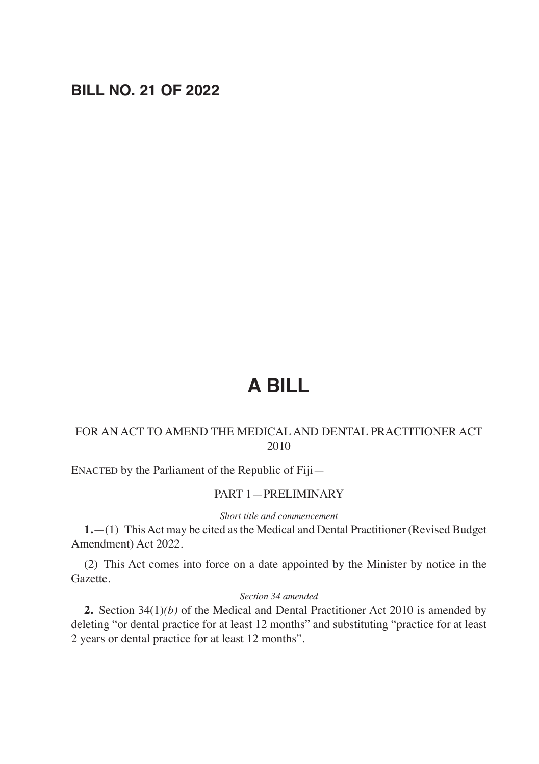# **BILL NO. 21 OF 2022**

# **A BILL**

### FOR AN ACT TO AMEND THE MEDICAL AND DENTAL PRACTITIONER ACT 2010

ENACTED by the Parliament of the Republic of Fiji—

#### PART 1—PRELIMINARY

*Short title and commencement*

**1.**—(1) This Act may be cited as the Medical and Dental Practitioner (Revised Budget Amendment) Act 2022.

(2) This Act comes into force on a date appointed by the Minister by notice in the Gazette.

#### *Section 34 amended*

**2.** Section 34(1)*(b)* of the Medical and Dental Practitioner Act 2010 is amended by deleting "or dental practice for at least 12 months" and substituting "practice for at least 2 years or dental practice for at least 12 months".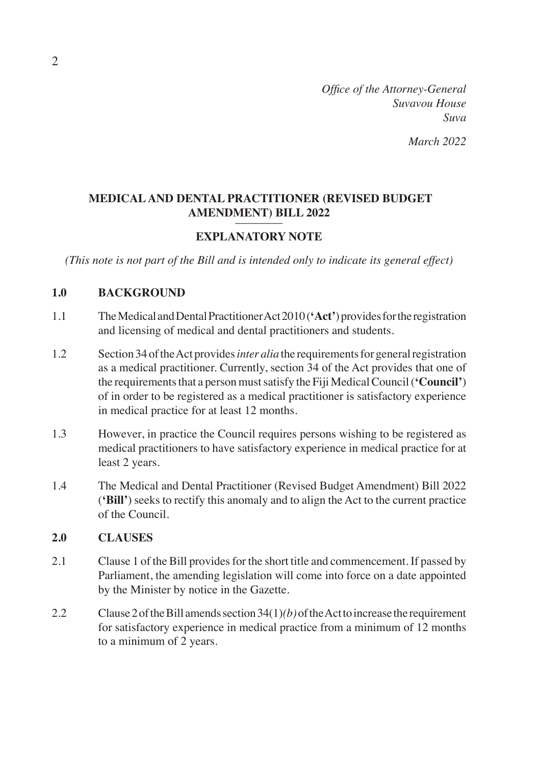*Office of the Attorney-General Suvavou House Suva*

# **MEDICAL AND DENTAL PRACTITIONER (REVISED BUDGET AMENDMENT) BILL 2022**

# **EXPLANATORY NOTE**

*(This note is not part of the Bill and is intended only to indicate its general effect)*

#### **1.0 BACKGROUND**

- 1.1 The Medical and Dental Practitioner Act 2010 (**'Act'**) provides for the registration and licensing of medical and dental practitioners and students.
- 1.2 Section 34 of the Act provides *inter alia* the requirements for general registration as a medical practitioner. Currently, section 34 of the Act provides that one of the requirements that a person must satisfy the Fiji Medical Council (**'Council'**) of in order to be registered as a medical practitioner is satisfactory experience in medical practice for at least 12 months.
- 1.3 However, in practice the Council requires persons wishing to be registered as medical practitioners to have satisfactory experience in medical practice for at least 2 years.
- 1.4 The Medical and Dental Practitioner (Revised Budget Amendment) Bill 2022 (**'Bill'**) seeks to rectify this anomaly and to align the Act to the current practice of the Council.

#### **2.0 CLAUSES**

- 2.1 Clause 1 of the Bill provides for the short title and commencement. If passed by Parliament, the amending legislation will come into force on a date appointed by the Minister by notice in the Gazette.
- 2.2 Clause 2 of the Bill amends section 34(1)*(b)* of the Act to increase the requirement for satisfactory experience in medical practice from a minimum of 12 months to a minimum of 2 years.